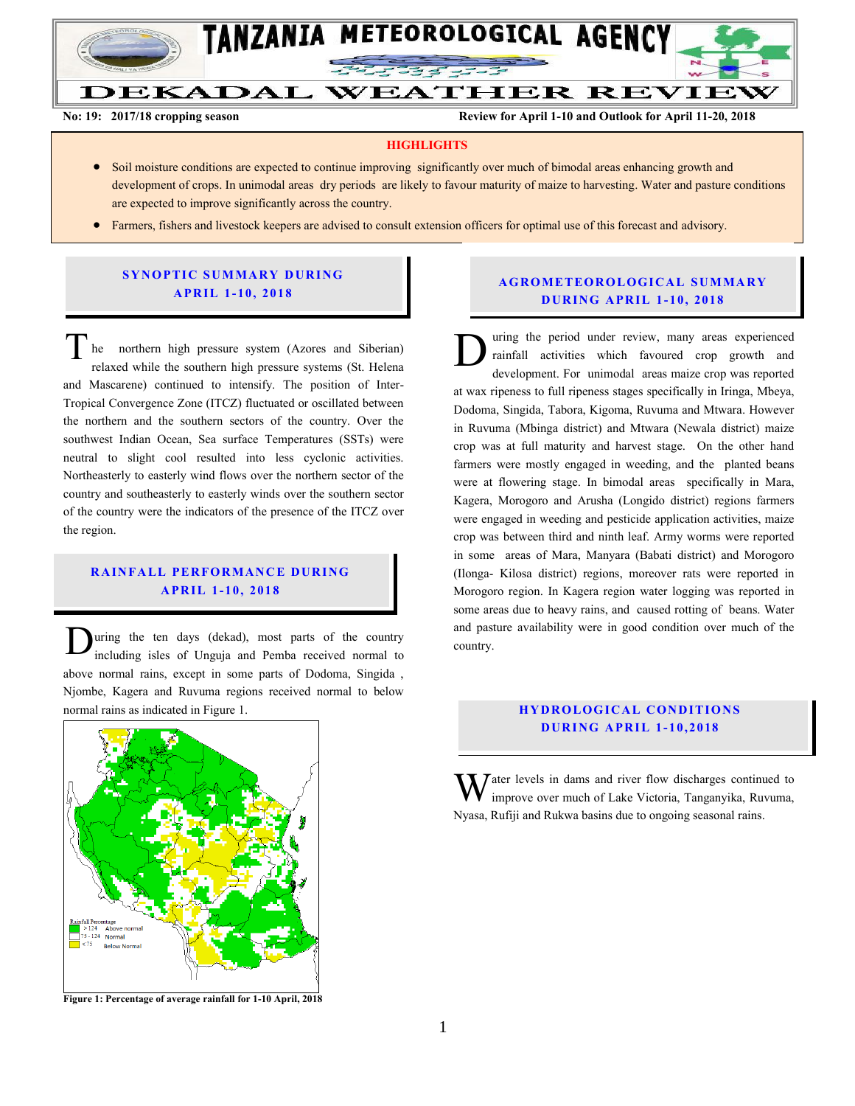

Ĩ

**DEKADAL WEATHER REVIEW** 

**No: 19: 2017/18 cropping season Review for April 1-10 and Outlook for April 11-20, 2018**

#### **HIGHLIGHTS**

- Soil moisture conditions are expected to continue improving significantly over much of bimodal areas enhancing growth and development of crops. In unimodal areas dry periods are likely to favour maturity of maize to harvesting. Water and pasture conditions are expected to improve significantly across the country.
- Farmers, fishers and livestock keepers are advised to consult extension officers for optimal use of this forecast and advisory.

#### **SYNOPTIC SUMMARY DURING A PR IL 1- 10, 201 8**

he northern high pressure system (Azores and Siberian) relaxed while the southern high pressure systems (St. Helena and Mascarene) continued to intensify. The position of Inter-Tropical Convergence Zone (ITCZ) fluctuated or oscillated between the northern and the southern sectors of the country. Over the southwest Indian Ocean, Sea surface Temperatures (SSTs) were neutral to slight cool resulted into less cyclonic activities. Northeasterly to easterly wind flows over the northern sector of the country and southeasterly to easterly winds over the southern sector of the country were the indicators of the presence of the ITCZ over the region. he he

## **RAINFALL PERFORMANCE DURING A PR IL 1- 10, 201 8**

uring the ten days (dekad), most parts of the country including isles of Unguja and Pemba received normal to above normal rains, except in some parts of Dodoma, Singida , Njombe, Kagera and Ruvuma regions received normal to below normal rains as indicated in Figure 1. D



**Figure 1: Percentage of average rainfall for 1-10 April, 2018**

## **A G RO METEO R O LOG ICA L SU MMA RY D UR ING A PR IL 1- 10, 2018**

uring the period under review, many areas experienced rainfall activities which favoured crop growth and development. For unimodal areas maize crop was reported at wax ripeness to full ripeness stages specifically in Iringa, Mbeya, Dodoma, Singida, Tabora, Kigoma, Ruvuma and Mtwara. However in Ruvuma (Mbinga district) and Mtwara (Newala district) maize crop was at full maturity and harvest stage. On the other hand farmers were mostly engaged in weeding, and the planted beans were at flowering stage. In bimodal areas specifically in Mara, Kagera, Morogoro and Arusha (Longido district) regions farmers were engaged in weeding and pesticide application activities, maize crop was between third and ninth leaf. Army worms were reported in some areas of Mara, Manyara (Babati district) and Morogoro (Ilonga- Kilosa district) regions, moreover rats were reported in Morogoro region. In Kagera region water logging was reported in some areas due to heavy rains, and caused rotting of beans. Water and pasture availability were in good condition over much of the country.  $\mathbf{D}^{\frac{\mathrm{u}}{\mathrm{r}\mathrm{r}}}$ 

#### **HYDROLOGICAL CONDITIONS D UR ING A PR IL 1- 10, 2018**

 $\bar{J}$  ater levels in dams and river flow discharges continued to improve over much of Lake Victoria, Tanganyika, Ruvuma, Nyasa, Rufiji and Rukwa basins due to ongoing seasonal rains. W